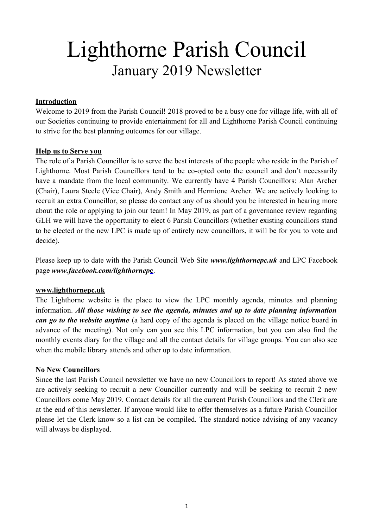# Lighthorne Parish Council January 2019 Newsletter

#### **Introduction**

Welcome to 2019 from the Parish Council! 2018 proved to be a busy one for village life, with all of our Societies continuing to provide entertainment for all and Lighthorne Parish Council continuing to strive for the best planning outcomes for our village.

#### **Help us to Serve you**

The role of a Parish Councillor is to serve the best interests of the people who reside in the Parish of Lighthorne. Most Parish Councillors tend to be co-opted onto the council and don't necessarily have a mandate from the local community. We currently have 4 Parish Councillors: Alan Archer (Chair), Laura Steele (Vice Chair), Andy Smith and Hermione Archer. We are actively looking to recruit an extra Councillor, so please do contact any of us should you be interested in hearing more about the role or applying to join our team! In May 2019, as part of a governance review regarding GLH we will have the opportunity to elect 6 Parish Councillors (whether existing councillors stand to be elected or the new LPC is made up of entirely new councillors, it will be for you to vote and decide).

Please keep up to date with the Parish Council Web Site *[www.lighthornepc.uk](http://www.lighthornepc.uk/home/lighthornepc.shtml)* and LPC Facebook page *[www.facebook.com/lighthornep](https://www.facebook.com/lighthornepc/)***[c](https://www.facebook.com/lighthornepc/)**.

#### **[www.lighthornepc.uk](http://www.lighthornepc.uk/home/lighthornepc.shtml)**

The Lighthorne website is the place to view the LPC monthly agenda, minutes and planning information. *All those wishing to see the agenda, minutes and up to date planning information can go to the website anytime* (a hard copy of the agenda is placed on the village notice board in advance of the meeting). Not only can you see this LPC information, but you can also find the monthly events diary for the village and all the contact details for village groups. You can also see when the mobile library attends and other up to date information.

#### **No New Councillors**

Since the last Parish Council newsletter we have no new Councillors to report! As stated above we are actively seeking to recruit a new Councillor currently and will be seeking to recruit 2 new Councillors come May 2019. Contact details for all the current Parish Councillors and the Clerk are at the end of this newsletter. If anyone would like to offer themselves as a future Parish Councillor please let the Clerk know so a list can be compiled. The standard notice advising of any vacancy will always be displayed.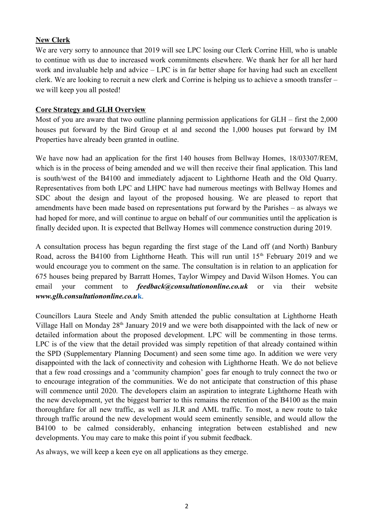## **New Clerk**

We are very sorry to announce that 2019 will see LPC losing our Clerk Corrine Hill, who is unable to continue with us due to increased work commitments elsewhere. We thank her for all her hard work and invaluable help and advice – LPC is in far better shape for having had such an excellent clerk. We are looking to recruit a new clerk and Corrine is helping us to achieve a smooth transfer – we will keep you all posted!

#### **Core Strategy and GLH Overview**

Most of you are aware that two outline planning permission applications for GLH – first the 2,000 houses put forward by the Bird Group et al and second the 1,000 houses put forward by IM Properties have already been granted in outline.

We have now had an application for the first 140 houses from Bellway Homes, [18/03307/REM,](https://apps.stratford.gov.uk/eplanning/AppDetail.aspx?appkey=PHVR69PMGAO00) which is in the process of being amended and we will then receive their final application. This land is south/west of the B4100 and immediately adjacent to Lighthorne Heath and the Old Quarry. Representatives from both LPC and LHPC have had numerous meetings with Bellway Homes and SDC about the design and layout of the proposed housing. We are pleased to report that amendments have been made based on representations put forward by the Parishes – as always we had hoped for more, and will continue to argue on behalf of our communities until the application is finally decided upon. It is expected that Bellway Homes will commence construction during 2019.

A consultation process has begun regarding the first stage of the Land off (and North) Banbury Road, across the B4100 from Lighthorne Heath. This will run until  $15<sup>th</sup>$  February 2019 and we would encourage you to comment on the same. The consultation is in relation to an application for 675 houses being prepared by Barratt Homes, Taylor Wimpey and David Wilson Homes. You can email your comment to *[feedback@consultationonline.co.uk](mailto:feedback@consultationonline.co.uk?subject=Lighthorne%20Heath%20Consultation)* or via their website *[www.glh.consultationonline.co.u](http://glh.consultationonline.co.uk/)***[k](http://glh.consultationonline.co.uk/)**.

Councillors Laura Steele and Andy Smith attended the public consultation at Lighthorne Heath Village Hall on Monday  $28<sup>th</sup>$  January 2019 and we were both disappointed with the lack of new or detailed information about the proposed development. LPC will be commenting in those terms. LPC is of the view that the detail provided was simply repetition of that already contained within the SPD (Supplementary Planning Document) and seen some time ago. In addition we were very disappointed with the lack of connectivity and cohesion with Lighthorne Heath. We do not believe that a few road crossings and a 'community champion' goes far enough to truly connect the two or to encourage integration of the communities. We do not anticipate that construction of this phase will commence until 2020. The developers claim an aspiration to integrate Lighthorne Heath with the new development, yet the biggest barrier to this remains the retention of the B4100 as the main thoroughfare for all new traffic, as well as JLR and AML traffic. To most, a new route to take through traffic around the new development would seem eminently sensible, and would allow the B4100 to be calmed considerably, enhancing integration between established and new developments. You may care to make this point if you submit feedback.

As always, we will keep a keen eye on all applications as they emerge.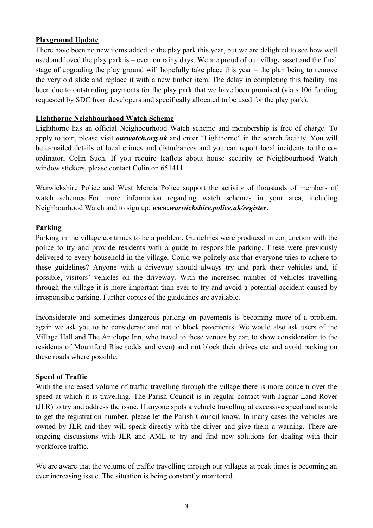# **Playground Update**

There have been no new items added to the play park this year, but we are delighted to see how well used and loved the play park is – even on rainy days. We are proud of our village asset and the final stage of upgrading the play ground will hopefully take place this year – the plan being to remove the very old slide and replace it with a new timber item. The delay in completing this facility has been due to outstanding payments for the play park that we have been promised (via s.106 funding requested by SDC from developers and specifically allocated to be used for the play park).

## **Lighthorne Neighbourhood Watch Scheme**

Lighthorne has an official Neighbourhood Watch scheme and membership is free of charge. To apply to join, please visit *[ourwatch.org.uk](https://www.ourwatch.org.uk/)* and enter "Lighthorne" in the search facility. You will be e-mailed details of local crimes and disturbances and you can report local incidents to the coordinator, Colin Such. If you require leaflets about house security or Neighbourhood Watch window stickers, please contact Colin on 651411.

Warwickshire Police and West Mercia Police support the activity of thousands of members of watch schemes. For more information regarding watch schemes in your area, including Neighbourhood Watch and to sign up: *[www.warwickshire.police.uk/register](https://www.warwickshire.police.uk/register)***.**

#### **Parking**

Parking in the village continues to be a problem. Guidelines were produced in conjunction with the police to try and provide residents with a guide to responsible parking. These were previously delivered to every household in the village. Could we politely ask that everyone tries to adhere to these guidelines? Anyone with a driveway should always try and park their vehicles and, if possible, visitors' vehicles on the driveway. With the increased number of vehicles travelling through the village it is more important than ever to try and avoid a potential accident caused by irresponsible parking. Further copies of the guidelines are available.

Inconsiderate and sometimes dangerous parking on pavements is becoming more of a problem, again we ask you to be considerate and not to block pavements. We would also ask users of the Village Hall and The Antelope Inn, who travel to these venues by car, to show consideration to the residents of Mountford Rise (odds and even) and not block their drives etc and avoid parking on these roads where possible.

#### **Speed of Traffic**

With the increased volume of traffic travelling through the village there is more concern over the speed at which it is travelling. The Parish Council is in regular contact with Jaguar Land Rover (JLR) to try and address the issue. If anyone spots a vehicle travelling at excessive speed and is able to get the registration number, please let the Parish Council know. In many cases the vehicles are owned by JLR and they will speak directly with the driver and give them a warning. There are ongoing discussions with JLR and AML to try and find new solutions for dealing with their workforce traffic.

We are aware that the volume of traffic travelling through our villages at peak times is becoming an ever increasing issue. The situation is being constantly monitored.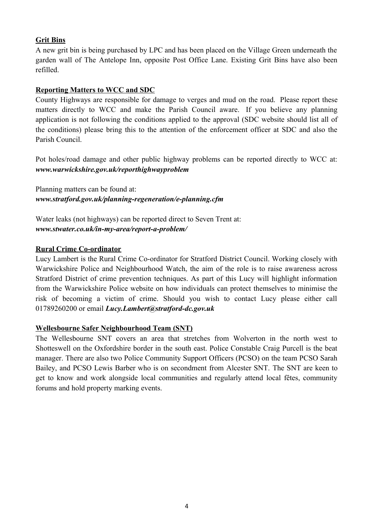# **Grit Bins**

A new grit bin is being purchased by LPC and has been placed on the Village Green underneath the garden wall of The Antelope Inn, opposite Post Office Lane. Existing Grit Bins have also been refilled.

## **Reporting Matters to WCC and SDC**

County Highways are responsible for damage to verges and mud on the road. Please report these matters directly to WCC and make the Parish Council aware. If you believe any planning application is not following the conditions applied to the approval (SDC website should list all of the conditions) please bring this to the attention of the enforcement officer at SDC and also the Parish Council.

Pot holes/road damage and other public highway problems can be reported directly to WCC at: *[www.warwickshire.gov.uk/reporthighwayproblem](https://www.warwickshire.gov.uk/reporthighwayproblem)*

Planning matters can be found at: *[www.stratford.gov.uk/planning-regeneration/e-planning.cfm](https://www.stratford.gov.uk/planning-regeneration/e-planning.cfm)*

Water leaks (not highways) can be reported direct to Seven Trent at: *[www.stwater.co.uk/in-my-area/report-a-problem/](https://www.stwater.co.uk/in-my-area/report-a-problem/)*

# **Rural Crime Co-ordinator**

Lucy Lambert is the Rural Crime Co-ordinator for Stratford District Council. Working closely with Warwickshire Police and Neighbourhood Watch, the aim of the role is to raise awareness across Stratford District of crime prevention techniques. As part of this Lucy will highlight information from the Warwickshire Police website on how individuals can protect themselves to minimise the risk of becoming a victim of crime. Should you wish to contact Lucy please either call 01789260200 or email *[Lucy.Lambert@stratford-dc.gov.uk](mailto:Lucy.Lambert@stratford-dc.gov.uk)*

#### **Wellesbourne Safer Neighbourhood Team (SNT)**

The Wellesbourne SNT covers an area that stretches from Wolverton in the north west to Shotteswell on the Oxfordshire border in the south east. Police Constable Craig Purcell is the beat manager. There are also two Police Community Support Officers (PCSO) on the team PCSO Sarah Bailey, and PCSO Lewis Barber who is on secondment from Alcester SNT. The SNT are keen to get to know and work alongside local communities and regularly attend local fêtes, community forums and hold property marking events.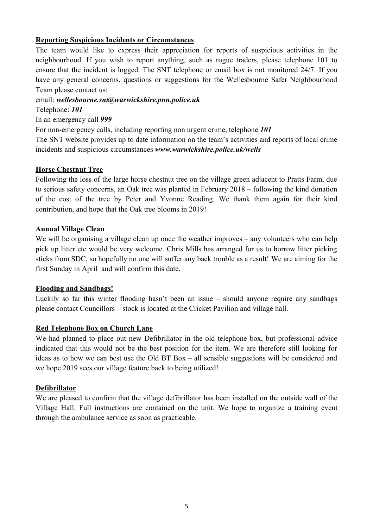# **Reporting Suspicious Incidents or Circumstances**

The team would like to express their appreciation for reports of suspicious activities in the neighbourhood. If you wish to report anything, such as rogue traders, please telephone 101 to ensure that the incident is logged. The SNT telephone or email box is not monitored 24/7. If you have any general concerns, questions or suggestions for the Wellesbourne Safer Neighbourhood Team please contact us:

#### email: *[wellesbourne.snt@warwickshire.pnn.police.uk](mailto:wellesbourne.snt@warwickshire.pnn.police.uk)*

Telephone: *101*

In an emergency call *999*

For non-emergency calls, including reporting non urgent crime, telephone *101*

The SNT website provides up to date information on the team's activities and reports of local crime incidents and suspicious circumstances *[www.warwickshire.police.uk/wells](https://www.warwickshire.police.uk/wells)*

#### **Horse Chestnut Tree**

Following the loss of the large horse chestnut tree on the village green adjacent to Pratts Farm, due to serious safety concerns, an Oak tree was planted in February 2018 – following the kind donation of the cost of the tree by Peter and Yvonne Reading. We thank them again for their kind contribution, and hope that the Oak tree blooms in 2019!

#### **Annual Village Clean**

We will be organising a village clean up once the weather improves – any volunteers who can help pick up litter etc would be very welcome. Chris Mills has arranged for us to borrow litter picking sticks from SDC, so hopefully no one will suffer any back trouble as a result! We are aiming for the first Sunday in April and will confirm this date.

#### **Flooding and Sandbags!**

Luckily so far this winter flooding hasn't been an issue – should anyone require any sandbags please contact Councillors – stock is located at the Cricket Pavilion and village hall.

#### **Red Telephone Box on Church Lane**

We had planned to place out new Defibrillator in the old telephone box, but professional advice indicated that this would not be the best position for the item. We are therefore still looking for ideas as to how we can best use the Old BT Box – all sensible suggestions will be considered and we hope 2019 sees our village feature back to being utilized!

#### **Defibrillator**

We are pleased to confirm that the village defibrillator has been installed on the outside wall of the Village Hall. Full instructions are contained on the unit. We hope to organize a training event through the ambulance service as soon as practicable.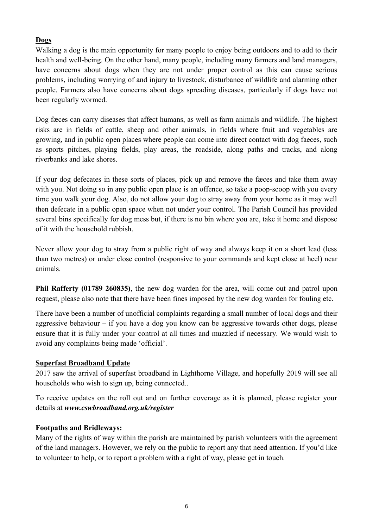# **Dogs**

Walking a dog is the main opportunity for many people to enjoy being outdoors and to add to their health and well-being. On the other hand, many people, including many farmers and land managers, have concerns about dogs when they are not under proper control as this can cause serious problems, including worrying of and injury to livestock, disturbance of wildlife and alarming other people. Farmers also have concerns about dogs spreading diseases, particularly if dogs have not been regularly wormed.

Dog fæces can carry diseases that affect humans, as well as farm animals and wildlife. The highest risks are in fields of cattle, sheep and other animals, in fields where fruit and vegetables are growing, and in public open places where people can come into direct contact with dog faeces, such as sports pitches, playing fields, play areas, the roadside, along paths and tracks, and along riverbanks and lake shores.

If your dog defecates in these sorts of places, pick up and remove the fæces and take them away with you. Not doing so in any public open place is an offence, so take a poop-scoop with you every time you walk your dog. Also, do not allow your dog to stray away from your home as it may well then defecate in a public open space when not under your control. The Parish Council has provided several bins specifically for dog mess but, if there is no bin where you are, take it home and dispose of it with the household rubbish.

Never allow your dog to stray from a public right of way and always keep it on a short lead (less than two metres) or under close control (responsive to your commands and kept close at heel) near animals.

**Phil Rafferty (01789 260835)**, the new dog warden for the area, will come out and patrol upon request, please also note that there have been fines imposed by the new dog warden for fouling etc.

There have been a number of unofficial complaints regarding a small number of local dogs and their aggressive behaviour – if you have a dog you know can be aggressive towards other dogs, please ensure that it is fully under your control at all times and muzzled if necessary. We would wish to avoid any complaints being made 'official'.

#### **Superfast Broadband Update**

2017 saw the arrival of superfast broadband in Lighthorne Village, and hopefully 2019 will see all households who wish to sign up, being connected..

To receive updates on the roll out and on further coverage as it is planned, please register your details at *[www.cswbroadband.org.uk/register](https://www.cswbroadband.org.uk/get-involved/register-for-more-information/)*

# **Footpaths and Bridleways:**

Many of the rights of way within the parish are maintained by parish volunteers with the agreement of the land managers. However, we rely on the public to report any that need attention. If you'd like to volunteer to help, or to report a problem with a right of way, please get in touch.